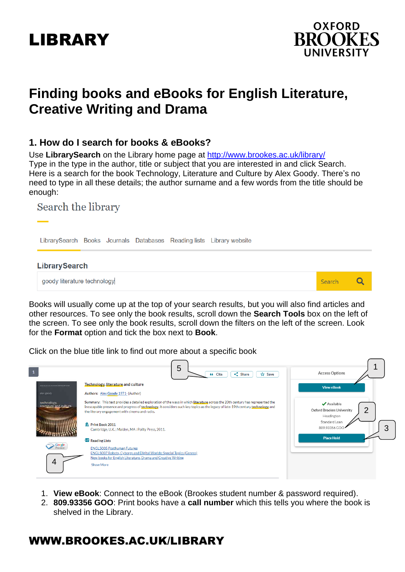# LIBRARY



Q

Search

## **Finding books and eBooks for English Literature, Creative Writing and Drama**

#### **1. How do I search for books & eBooks?**

Use **LibrarySearch** on the Library home page at<http://www.brookes.ac.uk/library/> Type in the type in the author, title or subject that you are interested in and click Search. Here is a search for the book Technology, Literature and Culture by Alex Goody. There's no need to type in all these details; the author surname and a few words from the title should be enough:

### Search the library

LibrarySearch Books Journals Databases Reading lists Library website

#### **LibrarySearch**

goody literature technology

Books will usually come up at the top of your search results, but you will also find articles and other resources. To see only the book results, scroll down the **Search Tools** box on the left of the screen. To see only the book results, scroll down the filters on the left of the screen. Look for the **Format** option and tick the box next to **Book**.

Click on the blue title link to find out more about a specific book

|                                       | 5<br>66 Cite<br>$\leq$ Share<br><b>☆ Save</b>                                                                                                                                                                                                                                                                                                                                                 | <b>Access Options</b>                                                                        |
|---------------------------------------|-----------------------------------------------------------------------------------------------------------------------------------------------------------------------------------------------------------------------------------------------------------------------------------------------------------------------------------------------------------------------------------------------|----------------------------------------------------------------------------------------------|
|                                       | Technology, literature and culture                                                                                                                                                                                                                                                                                                                                                            | <b>View eBook</b>                                                                            |
| alex goody                            | Authors: Alex Goody 1971- (Author)                                                                                                                                                                                                                                                                                                                                                            |                                                                                              |
| technology,<br>literature and culture | Summary: This text provides a detailed exploration of the ways in which literature across the 20th century has represented the<br>inescapable presence and progress of technology. It considers such key topics as the legacy of late-19th century technology and<br>the literary engagement with cinema and radio.<br>IN Print Book 2011<br>Cambridge, U.K.; Malden, MA: Polity Press, 2011. | ✔ Available<br>2<br>Oxford Brookes University<br>Headington<br>Standard Loan<br>809,93356 GC |
| Google<br><i><b>Teview</b></i>        | <b>E</b> Reading Lists<br><b>ENGL5005 Posthuman Futures</b>                                                                                                                                                                                                                                                                                                                                   | <b>Place Hold</b>                                                                            |
|                                       | ENGL5007 Robots, Cyborgs and Digital Worlds: Special Topics (Genres)<br>New books for English Literature, Drama and Creative Writing                                                                                                                                                                                                                                                          |                                                                                              |
| 4                                     | <b>Show More</b>                                                                                                                                                                                                                                                                                                                                                                              |                                                                                              |

- 1. **View eBook**: Connect to the eBook (Brookes student number & password required).
- 2. **809.93356 GOO**: Print books have a **call number** which this tells you where the book is shelved in the Library.

### WWW.BROOKES.AC.UK/LIBRARY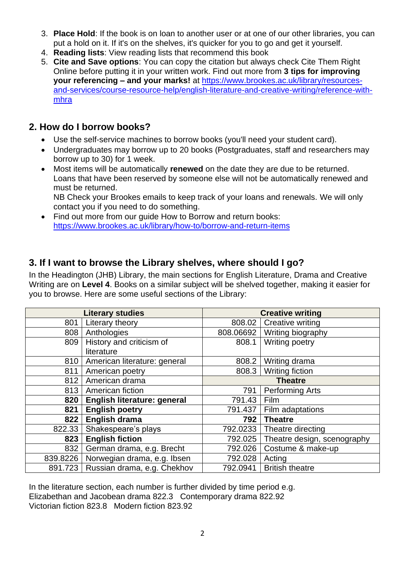- 3. **Place Hold**: If the book is on loan to another user or at one of our other libraries, you can put a hold on it. If it's on the shelves, it's quicker for you to go and get it yourself.
- 4. **Reading lists**: View reading lists that recommend this book
- 5. **Cite and Save options**: You can copy the citation but always check Cite Them Right Online before putting it in your written work. Find out more from **3 tips for improving your referencing – and your marks!** at [https://www.brookes.ac.uk/library/resources](https://www.brookes.ac.uk/library/resources-and-services/course-resource-help/english-literature-and-creative-writing/reference-with-mhra)[and-services/course-resource-help/english-literature-and-creative-writing/reference-with](https://www.brookes.ac.uk/library/resources-and-services/course-resource-help/english-literature-and-creative-writing/reference-with-mhra)[mhra](https://www.brookes.ac.uk/library/resources-and-services/course-resource-help/english-literature-and-creative-writing/reference-with-mhra)

### **2. How do I borrow books?**

- Use the self-service machines to borrow books (you'll need your student card).
- Undergraduates may borrow up to 20 books (Postgraduates, staff and researchers may borrow up to 30) for 1 week.
- Most items will be automatically **renewed** on the date they are due to be returned. Loans that have been reserved by someone else will not be automatically renewed and must be returned. NB Check your Brookes emails to keep track of your loans and renewals. We will only

contact you if you need to do something.

• Find out more from our guide How to Borrow and return books: <https://www.brookes.ac.uk/library/how-to/borrow-and-return-items>

### **3. If I want to browse the Library shelves, where should I go?**

In the Headington (JHB) Library, the main sections for English Literature, Drama and Creative Writing are on **Level 4**. Books on a similar subject will be shelved together, making it easier for you to browse. Here are some useful sections of the Library:

| <b>Literary studies</b> |                                       | <b>Creative writing</b> |                             |
|-------------------------|---------------------------------------|-------------------------|-----------------------------|
| 801                     | Literary theory                       | 808.02                  | <b>Creative writing</b>     |
| 808                     | Anthologies                           | 808.06692               | Writing biography           |
| 809                     | History and criticism of              | 808.1                   | Writing poetry              |
|                         | literature                            |                         |                             |
| 810                     | American literature: general          | 808.2                   | Writing drama               |
| 811                     | American poetry                       | 808.3                   | Writing fiction             |
| 812                     | American drama                        |                         | <b>Theatre</b>              |
| 813                     | American fiction                      | 791                     | <b>Performing Arts</b>      |
| 820                     | English literature: general           | 791.43                  | Film                        |
| 821                     | <b>English poetry</b>                 | 791.437                 | Film adaptations            |
| 822                     | English drama                         | 792                     | <b>Theatre</b>              |
| 822.33                  | Shakespeare's plays                   | 792.0233                | Theatre directing           |
| 823                     | <b>English fiction</b>                | 792.025                 | Theatre design, scenography |
| 832                     | German drama, e.g. Brecht             | 792.026                 | Costume & make-up           |
| 839.8226                | Norwegian drama, e.g. Ibsen           | 792.028                 | Acting                      |
|                         | 891.723   Russian drama, e.g. Chekhov | 792.0941                | <b>British theatre</b>      |

In the literature section, each number is further divided by time period e.g. Elizabethan and Jacobean drama 822.3 Contemporary drama 822.92 Victorian fiction 823.8 Modern fiction 823.92